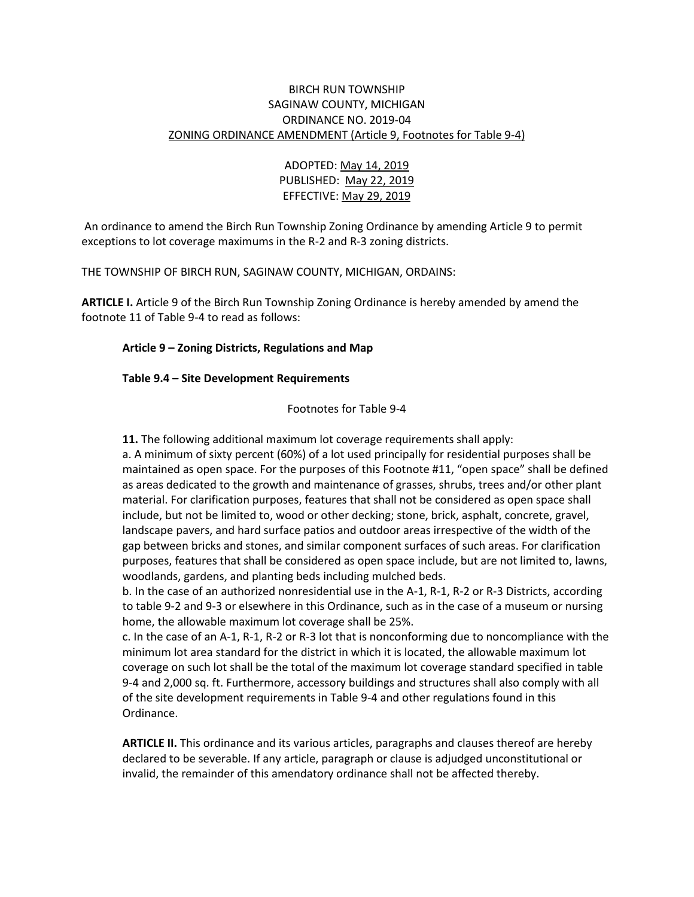## BIRCH RUN TOWNSHIP SAGINAW COUNTY, MICHIGAN ORDINANCE NO. 2019-04 ZONING ORDINANCE AMENDMENT (Article 9, Footnotes for Table 9-4)

# ADOPTED: May 14, 2019 PUBLISHED: May 22, 2019 EFFECTIVE: May 29, 2019

An ordinance to amend the Birch Run Township Zoning Ordinance by amending Article 9 to permit exceptions to lot coverage maximums in the R-2 and R-3 zoning districts.

THE TOWNSHIP OF BIRCH RUN, SAGINAW COUNTY, MICHIGAN, ORDAINS:

**ARTICLE I.** Article 9 of the Birch Run Township Zoning Ordinance is hereby amended by amend the footnote 11 of Table 9-4 to read as follows:

#### **Article 9 – Zoning Districts, Regulations and Map**

#### **Table 9.4 – Site Development Requirements**

Footnotes for Table 9-4

**11.** The following additional maximum lot coverage requirements shall apply:

a. A minimum of sixty percent (60%) of a lot used principally for residential purposes shall be maintained as open space. For the purposes of this Footnote #11, "open space" shall be defined as areas dedicated to the growth and maintenance of grasses, shrubs, trees and/or other plant material. For clarification purposes, features that shall not be considered as open space shall include, but not be limited to, wood or other decking; stone, brick, asphalt, concrete, gravel, landscape pavers, and hard surface patios and outdoor areas irrespective of the width of the gap between bricks and stones, and similar component surfaces of such areas. For clarification purposes, features that shall be considered as open space include, but are not limited to, lawns, woodlands, gardens, and planting beds including mulched beds.

b. In the case of an authorized nonresidential use in the A-1, R-1, R-2 or R-3 Districts, according to table 9-2 and 9-3 or elsewhere in this Ordinance, such as in the case of a museum or nursing home, the allowable maximum lot coverage shall be 25%.

c. In the case of an A-1, R-1, R-2 or R-3 lot that is nonconforming due to noncompliance with the minimum lot area standard for the district in which it is located, the allowable maximum lot coverage on such lot shall be the total of the maximum lot coverage standard specified in table 9-4 and 2,000 sq. ft. Furthermore, accessory buildings and structures shall also comply with all of the site development requirements in Table 9-4 and other regulations found in this Ordinance.

**ARTICLE II.** This ordinance and its various articles, paragraphs and clauses thereof are hereby declared to be severable. If any article, paragraph or clause is adjudged unconstitutional or invalid, the remainder of this amendatory ordinance shall not be affected thereby.